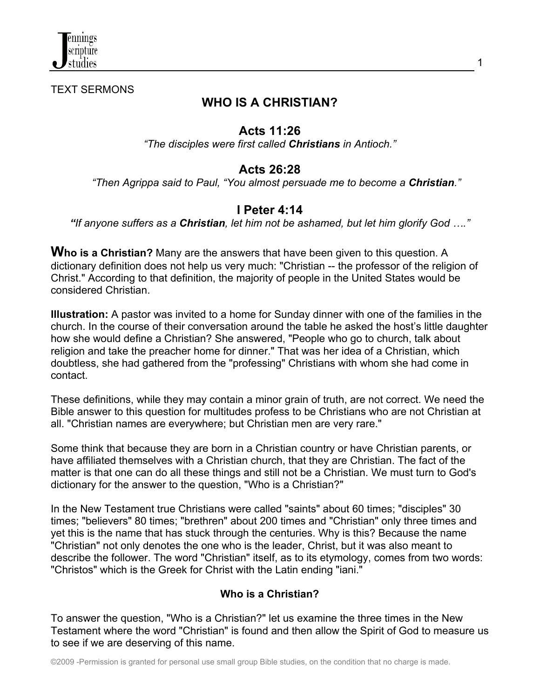

TEXT SERMONS

# **WHO IS A CHRISTIAN?**

1

## **Acts 11:26**

*"The disciples were first called Christians in Antioch."*

## **Acts 26:28**

 *"Then Agrippa said to Paul, "You almost persuade me to become a Christian."*

## **I Peter 4:14**

*"If anyone suffers as a Christian, let him not be ashamed, but let him glorify God …."*

**Who is a Christian?** Many are the answers that have been given to this question. A dictionary definition does not help us very much: "Christian -- the professor of the religion of Christ." According to that definition, the majority of people in the United States would be considered Christian.

**Illustration:** A pastor was invited to a home for Sunday dinner with one of the families in the church. In the course of their conversation around the table he asked the host's little daughter how she would define a Christian? She answered, "People who go to church, talk about religion and take the preacher home for dinner." That was her idea of a Christian, which doubtless, she had gathered from the "professing" Christians with whom she had come in contact.

These definitions, while they may contain a minor grain of truth, are not correct. We need the Bible answer to this question for multitudes profess to be Christians who are not Christian at all. "Christian names are everywhere; but Christian men are very rare."

Some think that because they are born in a Christian country or have Christian parents, or have affiliated themselves with a Christian church, that they are Christian. The fact of the matter is that one can do all these things and still not be a Christian. We must turn to God's dictionary for the answer to the question, "Who is a Christian?"

In the New Testament true Christians were called "saints" about 60 times; "disciples" 30 times; "believers" 80 times; "brethren" about 200 times and "Christian" only three times and yet this is the name that has stuck through the centuries. Why is this? Because the name "Christian" not only denotes the one who is the leader, Christ, but it was also meant to describe the follower. The word "Christian" itself, as to its etymology, comes from two words: "Christos" which is the Greek for Christ with the Latin ending "iani."

### **Who is a Christian?**

To answer the question, "Who is a Christian?" let us examine the three times in the New Testament where the word "Christian" is found and then allow the Spirit of God to measure us to see if we are deserving of this name.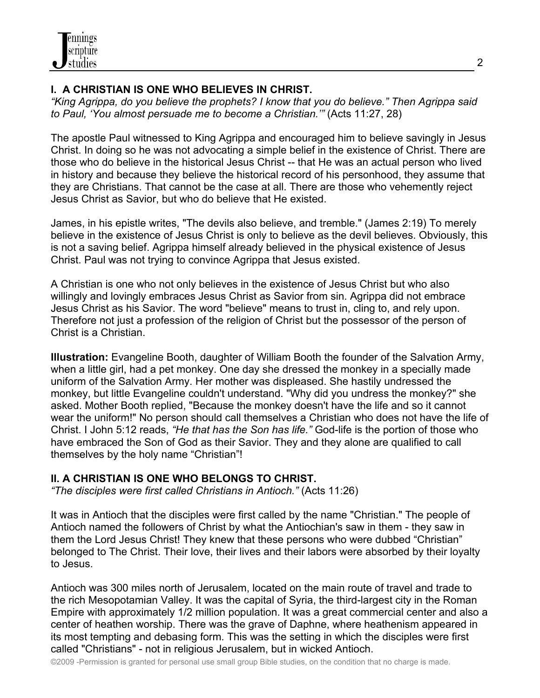#### **I. A CHRISTIAN IS ONE WHO BELIEVES IN CHRIST.**

*"King Agrippa, do you believe the prophets? I know that you do believe." Then Agrippa said to Paul, 'You almost persuade me to become a Christian.'"* (Acts 11:27, 28)

The apostle Paul witnessed to King Agrippa and encouraged him to believe savingly in Jesus Christ. In doing so he was not advocating a simple belief in the existence of Christ. There are those who do believe in the historical Jesus Christ -- that He was an actual person who lived in history and because they believe the historical record of his personhood, they assume that they are Christians. That cannot be the case at all. There are those who vehemently reject Jesus Christ as Savior, but who do believe that He existed.

James, in his epistle writes, "The devils also believe, and tremble." (James 2:19) To merely believe in the existence of Jesus Christ is only to believe as the devil believes. Obviously, this is not a saving belief. Agrippa himself already believed in the physical existence of Jesus Christ. Paul was not trying to convince Agrippa that Jesus existed.

A Christian is one who not only believes in the existence of Jesus Christ but who also willingly and lovingly embraces Jesus Christ as Savior from sin. Agrippa did not embrace Jesus Christ as his Savior. The word "believe" means to trust in, cling to, and rely upon. Therefore not just a profession of the religion of Christ but the possessor of the person of Christ is a Christian.

**Illustration:** Evangeline Booth, daughter of William Booth the founder of the Salvation Army, when a little girl, had a pet monkey. One day she dressed the monkey in a specially made uniform of the Salvation Army. Her mother was displeased. She hastily undressed the monkey, but little Evangeline couldn't understand. "Why did you undress the monkey?" she asked. Mother Booth replied, "Because the monkey doesn't have the life and so it cannot wear the uniform!" No person should call themselves a Christian who does not have the life of Christ. I John 5:12 reads, *"He that has the Son has life."* God-life is the portion of those who have embraced the Son of God as their Savior. They and they alone are qualified to call themselves by the holy name "Christian"!

### **II. A CHRISTIAN IS ONE WHO BELONGS TO CHRIST.**

*"The disciples were first called Christians in Antioch."* (Acts 11:26)

It was in Antioch that the disciples were first called by the name "Christian." The people of Antioch named the followers of Christ by what the Antiochian's saw in them - they saw in them the Lord Jesus Christ! They knew that these persons who were dubbed "Christian" belonged to The Christ. Their love, their lives and their labors were absorbed by their loyalty to Jesus.

Antioch was 300 miles north of Jerusalem, located on the main route of travel and trade to the rich Mesopotamian Valley. It was the capital of Syria, the third-largest city in the Roman Empire with approximately 1/2 million population. It was a great commercial center and also a center of heathen worship. There was the grave of Daphne, where heathenism appeared in its most tempting and debasing form. This was the setting in which the disciples were first called "Christians" - not in religious Jerusalem, but in wicked Antioch.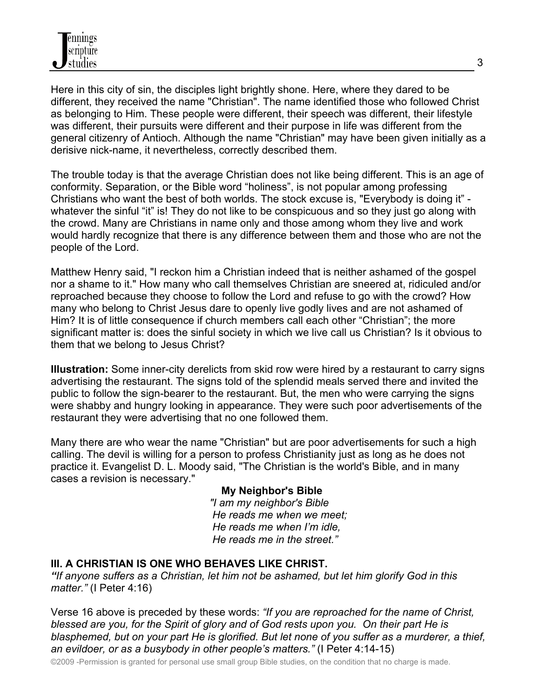Here in this city of sin, the disciples light brightly shone. Here, where they dared to be different, they received the name "Christian". The name identified those who followed Christ as belonging to Him. These people were different, their speech was different, their lifestyle was different, their pursuits were different and their purpose in life was different from the general citizenry of Antioch. Although the name "Christian" may have been given initially as a derisive nick-name, it nevertheless, correctly described them.

The trouble today is that the average Christian does not like being different. This is an age of conformity. Separation, or the Bible word "holiness", is not popular among professing Christians who want the best of both worlds. The stock excuse is, "Everybody is doing it" whatever the sinful "it" is! They do not like to be conspicuous and so they just go along with the crowd. Many are Christians in name only and those among whom they live and work would hardly recognize that there is any difference between them and those who are not the people of the Lord.

Matthew Henry said, "I reckon him a Christian indeed that is neither ashamed of the gospel nor a shame to it." How many who call themselves Christian are sneered at, ridiculed and/or reproached because they choose to follow the Lord and refuse to go with the crowd? How many who belong to Christ Jesus dare to openly live godly lives and are not ashamed of Him? It is of little consequence if church members call each other "Christian"; the more significant matter is: does the sinful society in which we live call us Christian? Is it obvious to them that we belong to Jesus Christ?

**Illustration:** Some inner-city derelicts from skid row were hired by a restaurant to carry signs advertising the restaurant. The signs told of the splendid meals served there and invited the public to follow the sign-bearer to the restaurant. But, the men who were carrying the signs were shabby and hungry looking in appearance. They were such poor advertisements of the restaurant they were advertising that no one followed them.

Many there are who wear the name "Christian" but are poor advertisements for such a high calling. The devil is willing for a person to profess Christianity just as long as he does not practice it. Evangelist D. L. Moody said, "The Christian is the world's Bible, and in many cases a revision is necessary."

#### **My Neighbor's Bible** *"I am my neighbor's Bible He reads me when we meet; He reads me when I'm idle, He reads me in the street."*

#### **III. A CHRISTIAN IS ONE WHO BEHAVES LIKE CHRIST.**

*"If anyone suffers as a Christian, let him not be ashamed, but let him glorify God in this matter."* (I Peter 4:16)

Verse 16 above is preceded by these words: *"If you are reproached for the name of Christ, blessed are you, for the Spirit of glory and of God rests upon you. On their part He is blasphemed, but on your part He is glorified. But let none of you suffer as a murderer, a thief, an evildoer, or as a busybody in other people's matters."* (I Peter 4:14-15)

©2009 -Permission is granted for personal use small group Bible studies, on the condition that no charge is made.